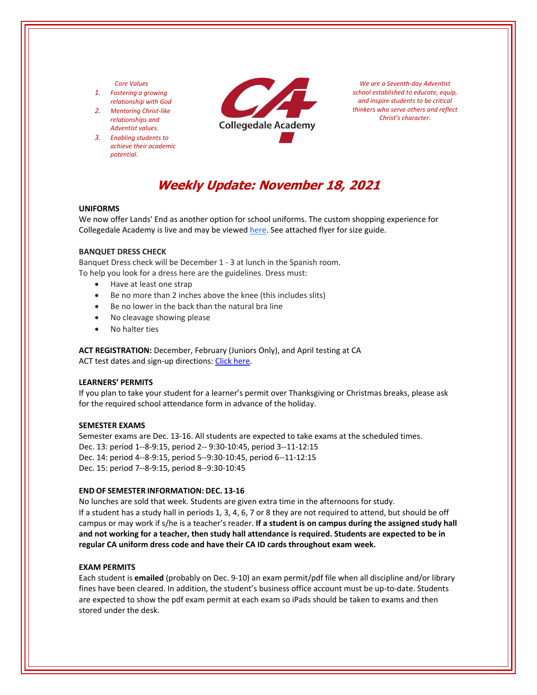## *Core Values*

- *1. Fostering a growing relationship with God*
- *2. Mentoring Christ‐like relationships and Adventist values.*
- *3. Enabling students to achieve their academic potential.*



*We are a Seventh‐day Adventist school established to educate, equip, and inspire students to be critical thinkers who serve others and reflect Christ's character.*

# **Weekly Update: November 18, 2021**

#### **UNIFORMS**

We now offer Lands' End as another option for school uniforms. The custom shopping experience for Collegedale Academy is live and may be viewed [here.](https://www.landsend.com/co/account/school-uniforms?selectedSchoolNum=900196254) See attached flyer for size guide.

#### **BANQUET DRESS CHECK**

Banquet Dress check will be December 1 ‐ 3 at lunch in the Spanish room. To help you look for a dress here are the guidelines. Dress must:

- Have at least one strap
- Be no more than 2 inches above the knee (this includes slits)
- Be no lower in the back than the natural bra line
- No cleavage showing please
- No halter ties

**ACT REGISTRATION:** December, February (Juniors Only), and April testing at CA ACT test dates and sign-up directions: Click [here.](https://www.act.org/)

#### **LEARNERS' PERMITS**

If you plan to take your student for a learner's permit over Thanksgiving or Christmas breaks, please ask for the required school attendance form in advance of the holiday.

#### **SEMESTER EXAMS**

Semester exams are Dec. 13‐16. All students are expected to take exams at the scheduled times. Dec. 13: period 1‐‐8‐9:15, period 2‐‐ 9:30‐10:45, period 3‐‐11‐12:15 Dec. 14: period 4‐‐8‐9:15, period 5‐‐9:30‐10:45, period 6‐‐11‐12:15 Dec. 15: period 7‐‐8‐9:15, period 8‐‐9:30‐10:45

# **END OF SEMESTER INFORMATION: DEC. 13‐16**

No lunches are sold that week. Students are given extra time in the afternoons for study. If a student has a study hall in periods 1, 3, 4, 6, 7 or 8 they are not required to attend, but should be off campus or may work if s/he is a teacher's reader. **If a student is on campus during the assigned study hall** and not working for a teacher, then study hall attendance is required. Students are expected to be in **regular CA uniform dress code and have their CA ID cards throughout exam week.**

## **EXAM PERMITS**

Each student is **emailed** (probably on Dec. 9‐10) an exam permit/pdf file when all discipline and/or library fines have been cleared. In addition, the student's business office account must be up‐to‐date. Students are expected to show the pdf exam permit at each exam so iPads should be taken to exams and then stored under the desk.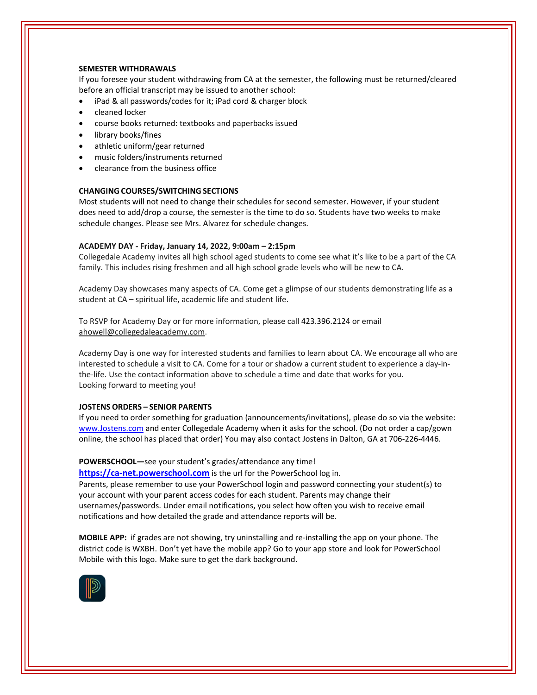## **SEMESTER WITHDRAWALS**

If you foresee your student withdrawing from CA at the semester, the following must be returned/cleared before an official transcript may be issued to another school:

- iPad & all passwords/codes for it; iPad cord & charger block
- cleaned locker
- course books returned: textbooks and paperbacks issued
- library books/fines
- athletic uniform/gear returned
- music folders/instruments returned
- clearance from the business office

#### **CHANGING COURSES/SWITCHING SECTIONS**

Most students will not need to change their schedules for second semester. However, if your student does need to add/drop a course, the semester is the time to do so. Students have two weeks to make schedule changes. Please see Mrs. Alvarez for schedule changes.

#### **ACADEMY DAY ‐ Friday, January 14, 2022, 9:00am – 2:15pm**

Collegedale Academy invites all high school aged students to come see what it's like to be a part of the CA family. This includes rising freshmen and all high school grade levels who will be new to CA.

Academy Day showcases many aspects of CA. Come get a glimpse of our students demonstrating life as a student at CA – spiritual life, academic life and student life.

To RSVP for Academy Day or for more information, please call 423.396.2124 or email ahowell@collegedaleacademy.com.

Academy Day is one way for interested students and families to learn about CA. We encourage all who are interested to schedule a visit to CA. Come for a tour or shadow a current student to experience a day-inthe‐life. Use the contact information above to schedule a time and date that works for you. Looking forward to meeting you!

#### **JOSTENS ORDERS – SENIOR PARENTS**

If you need to order something for graduation (announcements/invitations), please do so via the website: [www.Jostens.com](https://www.jostens.com/) and enter Collegedale Academy when it asks for the school. (Do not order a cap/gown online, the school has placed that order) You may also contact Jostens in Dalton, GA at 706‐226‐4446.

#### **POWERSCHOOL—**see your student's grades/attendance any time!

**https://ca-[net.powerschool.com](https://ca-net.powerschool.com/public/)** is the url for the PowerSchool log in. Parents, please remember to use your PowerSchool login and password connecting your student(s) to your account with your parent access codes for each student. Parents may change their usernames/passwords. Under email notifications, you select how often you wish to receive email notifications and how detailed the grade and attendance reports will be.

**MOBILE APP:** if grades are not showing, try uninstalling and re‐installing the app on your phone. The district code is WXBH. Don't yet have the mobile app? Go to your app store and look for PowerSchool Mobile with this logo. Make sure to get the dark background.

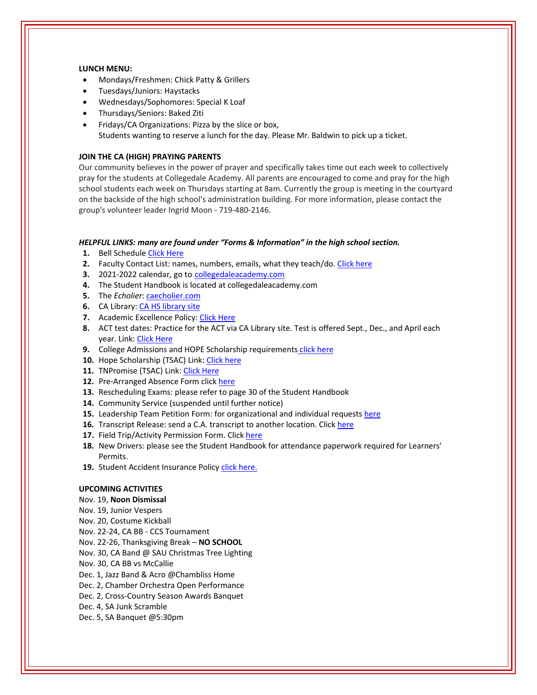## **LUNCH MENU:**

- Mondays/Freshmen: Chick Patty & Grillers
- Tuesdays/Juniors: Haystacks
- Wednesdays/Sophomores: Special K Loaf
- Thursdays/Seniors: Baked Ziti
- Fridays/CA Organizations: Pizza by the slice or box, Students wanting to reserve a lunch for the day. Please Mr. Baldwin to pick up a ticket.

## **JOIN THE CA (HIGH) PRAYING PARENTS**

Our community believes in the power of prayer and specifically takes time out each week to collectively pray for the students at Collegedale Academy. All parents are encouraged to come and pray for the high school students each week on Thursdays starting at 8am. Currently the group is meeting in the courtyard on the backside of the high school's administration building. For more information, please contact the group's volunteer leader Ingrid Moon ‐ 719‐480‐2146.

#### *HELPFUL LINKS: many are found under "Forms & Information" in the high school section.*

- **1.** Bell Schedule Click [Here](https://www.collegedaleacademy.com/wp-content/uploads/2018/08/Bell-Schedule.pdf)
- **2.** Faculty Contact List: names, numbers, emails, what they teach/do. [Click](https://www.collegedaleacademy.com/wp-content/uploads/2021/08/faculty-only-2021-2022.pdf) here
- **3.** 2021‐2022 calendar, go to [collegedaleacademy.com](https://www.collegedaleacademy.com/calendars/)
- **4.** The Student Handbook is located at collegedaleacademy.com
- **5.** The *Echolier*: **[caecholier.com](https://caecholier.com/)**
- **6.** CA Library: CA HS [library](https://southernuniongcc.mlasolutions.com/m5/catalog/(S(y4wfemv043nhvckxvqgaczdm))/default.aspx?installation=CDA) site
- **7.** Academic Excellence Policy: Click [Here](https://www.collegedaleacademy.com/wp-content/uploads/2018/08/Academic-Excellence-Policy.pdf)
- **8.** ACT test dates: Practice for the ACT via CA Library site. Test is offered Sept., Dec., and April each year. Link: Click [Here](https://www.act.org/)
- **9.** College Admissions and HOPE Scholarship requirements click [here](https://www.collegedaleacademy.com/wp-content/uploads/2019/08/TSAC-Scholarship-Info.pdf)
- **10.** Hope Scholarship (TSAC) Link: Click [here](https://www.tn.gov/collegepays/money-for-college/tn-education-lottery-programs/tennessee-hope-scholarship.html)
- **11.** TNPromise (TSAC) Link: Click [Here](https://www.tn.gov/tnpromise.html)
- 12. Pre-Arranged Absence Form click [here](https://www.collegedaleacademy.com/wp-content/uploads/2016/11/Class-Absence-Request-Form-May-2017.pdf)
- **13.** Rescheduling Exams: please refer to page 30 of the Student Handbook
- **14.** Community Service (suspended until further notice)
- **15.** Leadership Team Petition Form: for organizational and individual requests [here](https://www.collegedaleacademy.com/wp-content/uploads/2019/08/Leadership-Petition-SSch.pdf)
- 16. Transcript Release: send a C.A. transcript to another location. Click [here](https://www.collegedaleacademy.com/wp-content/uploads/2016/12/transcriptrelease2014.pdf)
- **17.** Field Trip/Activity Permission Form. Click [here](https://www.collegedaleacademy.com/wp-content/uploads/2018/08/Field-Trip-form.pdf)
- **18.** New Drivers: please see the Student Handbook for attendance paperwork required for Learners' Permits.
- 19. Student Accident Insurance Policy click [here.](https://adventistrisk.org/en-us/insurance/nad/k-12-student-accident)

## **UPCOMING ACTIVITIES**

## Nov. 19, **Noon Dismissal**

- Nov. 19, Junior Vespers
- Nov. 20, Costume Kickball
- Nov. 22‐24, CA BB ‐ CCS Tournament
- Nov. 22‐26, Thanksgiving Break **NO SCHOOL**
- Nov. 30, CA Band @ SAU Christmas Tree Lighting
- Nov. 30, CA BB vs McCallie
- Dec. 1, Jazz Band & Acro @Chambliss Home
- Dec. 2, Chamber Orchestra Open Performance
- Dec. 2, Cross‐Country Season Awards Banquet
- Dec. 4, SA Junk Scramble

## Dec. 5, SA Banquet @5:30pm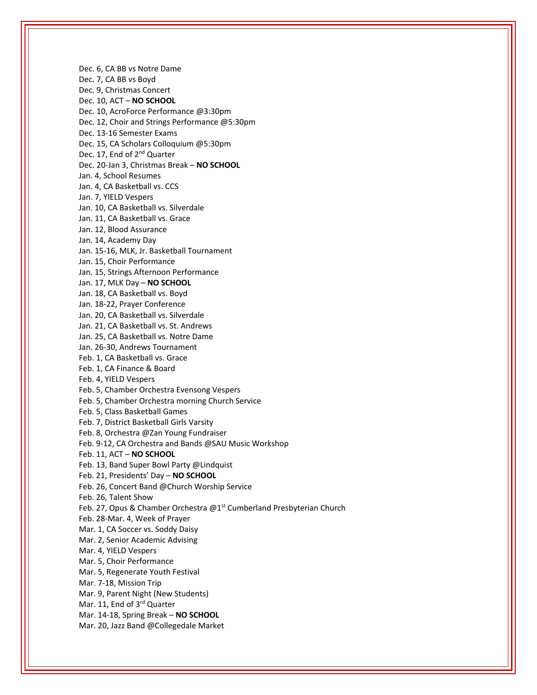Dec. 6, CA BB vs Notre Dame Dec. 7, CA BB vs Boyd Dec. 9, Christmas Concert Dec. 10, ACT – **NO SCHOOL** Dec. 10, AcroForce Performance @3:30pm Dec. 12, Choir and Strings Performance @5:30pm Dec. 13‐16 Semester Exams Dec. 15, CA Scholars Colloquium @5:30pm Dec. 17, End of 2<sup>nd</sup> Quarter Dec. 20‐Jan 3, Christmas Break – **NO SCHOOL** Jan. 4, School Resumes Jan. 4, CA Basketball vs. CCS Jan. 7, YIELD Vespers Jan. 10, CA Basketball vs. Silverdale Jan. 11, CA Basketball vs. Grace Jan. 12, Blood Assurance Jan. 14, Academy Day Jan. 15‐16, MLK, Jr. Basketball Tournament Jan. 15, Choir Performance Jan. 15, Strings Afternoon Performance Jan. 17, MLK Day – **NO SCHOOL** Jan. 18, CA Basketball vs. Boyd Jan. 18‐22, Prayer Conference Jan. 20, CA Basketball vs. Silverdale Jan. 21, CA Basketball vs. St. Andrews Jan. 25, CA Basketball vs. Notre Dame Jan. 26‐30, Andrews Tournament Feb. 1, CA Basketball vs. Grace Feb. 1, CA Finance & Board Feb. 4, YIELD Vespers Feb. 5, Chamber Orchestra Evensong Vespers Feb. 5, Chamber Orchestra morning Church Service Feb. 5, Class Basketball Games Feb. 7, District Basketball Girls Varsity Feb. 8, Orchestra @Zan Young Fundraiser Feb. 9‐12, CA Orchestra and Bands @SAU Music Workshop Feb. 11, ACT – **NO SCHOOL** Feb. 13, Band Super Bowl Party @Lindquist Feb. 21, Presidents' Day – **NO SCHOOL** Feb. 26, Concert Band @Church Worship Service Feb. 26, Talent Show Feb. 27, Opus & Chamber Orchestra @1<sup>st</sup> Cumberland Presbyterian Church Feb. 28‐Mar. 4, Week of Prayer Mar. 1, CA Soccer vs. Soddy Daisy Mar. 2, Senior Academic Advising Mar. 4, YIELD Vespers Mar. 5, Choir Performance Mar. 5, Regenerate Youth Festival Mar. 7‐18, Mission Trip Mar. 9, Parent Night (New Students) Mar. 11, End of 3rd Quarter Mar. 14‐18, Spring Break – **NO SCHOOL** Mar. 20, Jazz Band @Collegedale Market